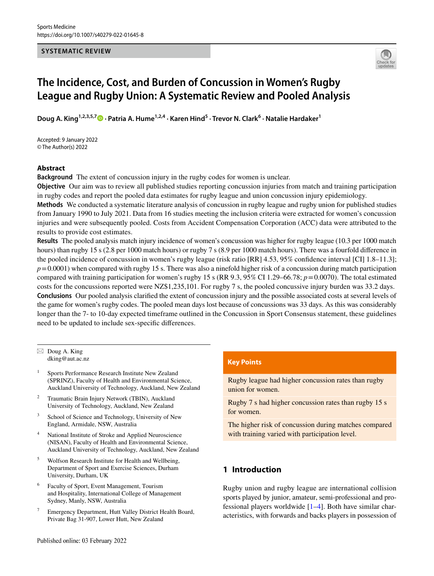#### **SYSTEMATIC REVIEW**



# **The Incidence, Cost, and Burden of Concussion in Women's Rugby League and Rugby Union: A Systematic Review and Pooled Analysis**

Doug A. King<sup>1,2,3,5,7 **D** [·](http://orcid.org/0000-0003-0135-0937) Patria A. Hume<sup>1,2,4</sup> · Karen Hind<sup>5</sup> · Trevor N. Clark<sup>6</sup> · Natalie Hardaker<sup>1</sup></sup>

Accepted: 9 January 2022 © The Author(s) 2022

## **Abstract**

**Background** The extent of concussion injury in the rugby codes for women is unclear.

**Objective** Our aim was to review all published studies reporting concussion injuries from match and training participation in rugby codes and report the pooled data estimates for rugby league and union concussion injury epidemiology.

**Methods** We conducted a systematic literature analysis of concussion in rugby league and rugby union for published studies from January 1990 to July 2021. Data from 16 studies meeting the inclusion criteria were extracted for women's concussion injuries and were subsequently pooled. Costs from Accident Compensation Corporation (ACC) data were attributed to the results to provide cost estimates.

**Results** The pooled analysis match injury incidence of women's concussion was higher for rugby league (10.3 per 1000 match hours) than rugby 15 s (2.8 per 1000 match hours) or rugby 7 s (8.9 per 1000 match hours). There was a fourfold difference in the pooled incidence of concussion in women's rugby league (risk ratio [RR] 4.53, 95% confdence interval [CI] 1.8–11.3];  $p=0.0001$ ) when compared with rugby 15 s. There was also a ninefold higher risk of a concussion during match participation compared with training participation for women's rugby 15 s (RR 9.3, 95% CI 1.29–66.78; *p*=0.0070). The total estimated costs for the concussions reported were NZ\$1,235,101. For rugby 7 s, the pooled concussive injury burden was 33.2 days. **Conclusions** Our pooled analysis clarifed the extent of concussion injury and the possible associated costs at several levels of the game for women's rugby codes. The pooled mean days lost because of concussions was 33 days. As this was considerably longer than the 7- to 10-day expected timeframe outlined in the Concussion in Sport Consensus statement, these guidelines need to be updated to include sex-specifc diferences.

 $\boxtimes$  Doug A. King dking@aut.ac.nz

- <sup>1</sup> Sports Performance Research Institute New Zealand (SPRINZ), Faculty of Health and Environmental Science, Auckland University of Technology, Auckland, New Zealand
- <sup>2</sup> Traumatic Brain Injury Network (TBIN), Auckland University of Technology, Auckland, New Zealand
- <sup>3</sup> School of Science and Technology, University of New England, Armidale, NSW, Australia
- National Institute of Stroke and Applied Neuroscience (NISAN), Faculty of Health and Environmental Science, Auckland University of Technology, Auckland, New Zealand
- <sup>5</sup> Wolfson Research Institute for Health and Wellbeing, Department of Sport and Exercise Sciences, Durham University, Durham, UK
- <sup>6</sup> Faculty of Sport, Event Management, Tourism and Hospitality, International College of Management Sydney, Manly, NSW, Australia
- <sup>7</sup> Emergency Department, Hutt Valley District Health Board, Private Bag 31-907, Lower Hutt, New Zealand

## **Key Points**

Rugby league had higher concussion rates than rugby union for women.

Rugby 7 s had higher concussion rates than rugby 15 s for women.

The higher risk of concussion during matches compared with training varied with participation level.

# **1 Introduction**

Rugby union and rugby league are international collision sports played by junior, amateur, semi-professional and professional players worldwide [\[1](#page-10-0)[–4](#page-10-1)]. Both have similar characteristics, with forwards and backs players in possession of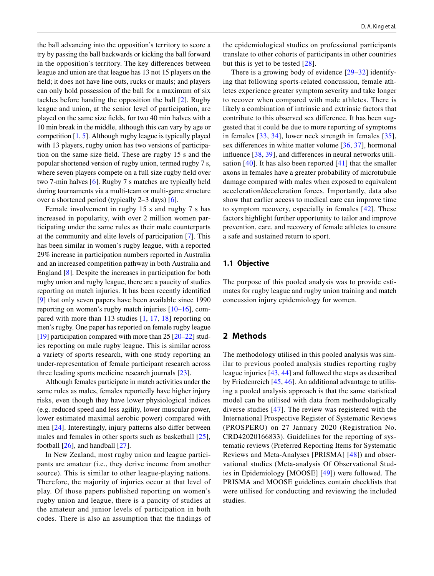the ball advancing into the opposition's territory to score a try by passing the ball backwards or kicking the ball forward in the opposition's territory. The key diferences between league and union are that league has 13 not 15 players on the feld; it does not have line outs, rucks or mauls; and players can only hold possession of the ball for a maximum of six tackles before handing the opposition the ball [[2](#page-10-2)]. Rugby league and union, at the senior level of participation, are played on the same size felds, for two 40 min halves with a 10 min break in the middle, although this can vary by age or competition [\[1](#page-10-0), [5\]](#page-10-3). Although rugby league is typically played with 13 players, rugby union has two versions of participation on the same size feld. These are rugby 15 s and the popular shortened version of rugby union, termed rugby 7 s, where seven players compete on a full size rugby feld over two 7-min halves [[6\]](#page-10-4). Rugby 7 s matches are typically held during tournaments via a multi-team or multi-game structure over a shortened period (typically 2–3 days) [\[6](#page-10-4)].

Female involvement in rugby 15 s and rugby 7 s has increased in popularity, with over 2 million women participating under the same rules as their male counterparts at the community and elite levels of participation [\[7\]](#page-10-5). This has been similar in women's rugby league, with a reported 29% increase in participation numbers reported in Australia and an increased competition pathway in both Australia and England [[8\]](#page-10-6). Despite the increases in participation for both rugby union and rugby league, there are a paucity of studies reporting on match injuries. It has been recently identifed [\[9\]](#page-10-7) that only seven papers have been available since 1990 reporting on women's rugby match injuries [\[10](#page-10-8)[–16\]](#page-10-9), compared with more than 113 studies [\[1](#page-10-0), [17](#page-10-10), [18\]](#page-10-11) reporting on men's rugby. One paper has reported on female rugby league [\[19](#page-10-12)] participation compared with more than 25 [\[20](#page-10-13)[–22](#page-10-14)] studies reporting on male rugby league. This is similar across a variety of sports research, with one study reporting an under-representation of female participant research across three leading sports medicine research journals [[23\]](#page-10-15).

Although females participate in match activities under the same rules as males, females reportedly have higher injury risks, even though they have lower physiological indices (e.g. reduced speed and less agility, lower muscular power, lower estimated maximal aerobic power) compared with men [[24\]](#page-10-16). Interestingly, injury patterns also difer between males and females in other sports such as basketball [[25](#page-10-17)], football  $[26]$  $[26]$  $[26]$ , and handball  $[27]$  $[27]$  $[27]$ .

In New Zealand, most rugby union and league participants are amateur (i.e., they derive income from another source). This is similar to other league-playing nations. Therefore, the majority of injuries occur at that level of play. Of those papers published reporting on women's rugby union and league, there is a paucity of studies at the amateur and junior levels of participation in both codes. There is also an assumption that the fndings of the epidemiological studies on professional participants translate to other cohorts of participants in other countries but this is yet to be tested [[28\]](#page-11-2).

There is a growing body of evidence [\[29–](#page-11-3)[32](#page-11-4)] identifying that following sports-related concussion, female athletes experience greater symptom severity and take longer to recover when compared with male athletes. There is likely a combination of intrinsic and extrinsic factors that contribute to this observed sex diference. It has been suggested that it could be due to more reporting of symptoms in females [[33,](#page-11-5) [34\]](#page-11-6), lower neck strength in females [[35](#page-11-7)], sex diferences in white matter volume [[36,](#page-11-8) [37](#page-11-9)], hormonal infuence [\[38](#page-11-10), [39\]](#page-11-11), and diferences in neural networks utilisation [[40](#page-11-12)]. It has also been reported [[41](#page-11-13)] that the smaller axons in females have a greater probability of microtubule damage compared with males when exposed to equivalent acceleration/deceleration forces. Importantly, data also show that earlier access to medical care can improve time to symptom recovery, especially in females [[42\]](#page-11-14). These factors highlight further opportunity to tailor and improve prevention, care, and recovery of female athletes to ensure a safe and sustained return to sport.

### **1.1 Objective**

The purpose of this pooled analysis was to provide estimates for rugby league and rugby union training and match concussion injury epidemiology for women.

## **2 Methods**

The methodology utilised in this pooled analysis was similar to previous pooled analysis studies reporting rugby league injuries [\[43,](#page-11-15) [44\]](#page-11-16) and followed the steps as described by Friedenreich [[45,](#page-11-17) [46\]](#page-11-18). An additional advantage to utilising a pooled analysis approach is that the same statistical model can be utilised with data from methodologically diverse studies [\[47\]](#page-11-19). The review was registered with the International Prospective Register of Systematic Reviews (PROSPERO) on 27 January 2020 (Registration No. CRD42020166833). Guidelines for the reporting of systematic reviews (Preferred Reporting Items for Systematic Reviews and Meta-Analyses [PRISMA] [[48](#page-11-20)]) and observational studies (Meta-analysis Of Observational Studies in Epidemiology [MOOSE] [[49](#page-11-21)]) were followed. The PRISMA and MOOSE guidelines contain checklists that were utilised for conducting and reviewing the included studies.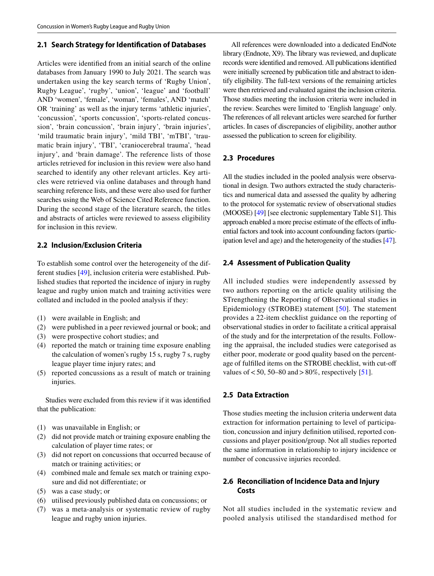## **2.1 Search Strategy for Identifcation of Databases**

Articles were identifed from an initial search of the online databases from January 1990 to July 2021. The search was undertaken using the key search terms of 'Rugby Union', Rugby League', 'rugby', 'union', 'league' and 'football' AND 'women', 'female', 'woman', 'females', AND 'match' OR 'training' as well as the injury terms 'athletic injuries', 'concussion', 'sports concussion', 'sports-related concussion', 'brain concussion', 'brain injury', 'brain injuries', 'mild traumatic brain injury', 'mild TBI', 'mTBI', 'traumatic brain injury', 'TBI', 'craniocerebral trauma', 'head injury', and 'brain damage'. The reference lists of those articles retrieved for inclusion in this review were also hand searched to identify any other relevant articles. Key articles were retrieved via online databases and through hand searching reference lists, and these were also used for further searches using the Web of Science Cited Reference function. During the second stage of the literature search, the titles and abstracts of articles were reviewed to assess eligibility for inclusion in this review.

## **2.2 Inclusion/Exclusion Criteria**

To establish some control over the heterogeneity of the different studies [[49](#page-11-21)], inclusion criteria were established. Published studies that reported the incidence of injury in rugby league and rugby union match and training activities were collated and included in the pooled analysis if they:

- (1) were available in English; and
- (2) were published in a peer reviewed journal or book; and
- (3) were prospective cohort studies; and
- (4) reported the match or training time exposure enabling the calculation of women's rugby 15 s, rugby 7 s, rugby league player time injury rates; and
- (5) reported concussions as a result of match or training injuries.

Studies were excluded from this review if it was identifed that the publication:

- (1) was unavailable in English; or
- (2) did not provide match or training exposure enabling the calculation of player time rates; or
- (3) did not report on concussions that occurred because of match or training activities; or
- (4) combined male and female sex match or training exposure and did not diferentiate; or
- (5) was a case study; or
- (6) utilised previously published data on concussions; or
- (7) was a meta-analysis or systematic review of rugby league and rugby union injuries.

All references were downloaded into a dedicated EndNote library (Endnote, X9). The library was reviewed, and duplicate records were identifed and removed. All publications identifed were initially screened by publication title and abstract to identify eligibility. The full-text versions of the remaining articles were then retrieved and evaluated against the inclusion criteria. Those studies meeting the inclusion criteria were included in the review. Searches were limited to 'English language' only. The references of all relevant articles were searched for further articles. In cases of discrepancies of eligibility, another author assessed the publication to screen for eligibility.

# **2.3 Procedures**

All the studies included in the pooled analysis were observational in design. Two authors extracted the study characteristics and numerical data and assessed the quality by adhering to the protocol for systematic review of observational studies (MOOSE) [\[49\]](#page-11-21) [see electronic supplementary Table S1]. This approach enabled a more precise estimate of the effects of influential factors and took into account confounding factors (participation level and age) and the heterogeneity of the studies [\[47\]](#page-11-19).

## **2.4 Assessment of Publication Quality**

All included studies were independently assessed by two authors reporting on the article quality utilising the STrengthening the Reporting of OBservational studies in Epidemiology (STROBE**)** statement [[50](#page-11-22)]. The statement provides a 22-item checklist guidance on the reporting of observational studies in order to facilitate a critical appraisal of the study and for the interpretation of the results. Following the appraisal, the included studies were categorised as either poor, moderate or good quality based on the percentage of fulflled items on the STROBE checklist, with cut-of values of  $< 50$ , 50–80 and  $> 80\%$ , respectively [[51\]](#page-11-23).

# **2.5 Data Extraction**

Those studies meeting the inclusion criteria underwent data extraction for information pertaining to level of participation, concussion and injury defnition utilised, reported concussions and player position/group. Not all studies reported the same information in relationship to injury incidence or number of concussive injuries recorded.

# **2.6 Reconciliation of Incidence Data and Injury Costs**

Not all studies included in the systematic review and pooled analysis utilised the standardised method for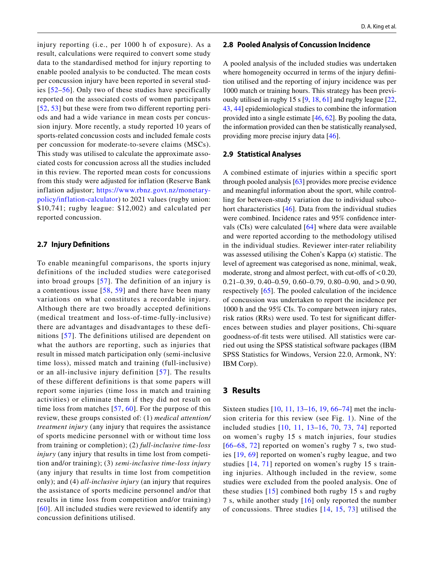injury reporting (i.e., per 1000 h of exposure). As a result, calculations were required to convert some study data to the standardised method for injury reporting to enable pooled analysis to be conducted. The mean costs per concussion injury have been reported in several studies [[52](#page-11-24)[–56](#page-11-25)]. Only two of these studies have specifically reported on the associated costs of women participants [[52,](#page-11-24) [53\]](#page-11-26) but these were from two different reporting periods and had a wide variance in mean costs per concussion injury. More recently, a study reported 10 years of sports-related concussion costs and included female costs per concussion for moderate-to-severe claims (MSCs). This study was utilised to calculate the approximate associated costs for concussion across all the studies included in this review. The reported mean costs for concussions from this study were adjusted for inflation (Reserve Bank inflation adjustor; [https://www.rbnz.govt.nz/monetary](https://www.rbnz.govt.nz/monetary-policy/inflation-calculator)[policy/inflation-calculator](https://www.rbnz.govt.nz/monetary-policy/inflation-calculator)) to 2021 values (rugby union: \$10,741; rugby league: \$12,002) and calculated per reported concussion.

#### **2.7 Injury Defnitions**

To enable meaningful comparisons, the sports injury definitions of the included studies were categorised into broad groups [[57](#page-11-27)]. The definition of an injury is a contentious issue  $[58, 59]$  $[58, 59]$  $[58, 59]$  $[58, 59]$  and there have been many variations on what constitutes a recordable injury. Although there are two broadly accepted definitions (medical treatment and loss-of-time-fully-inclusive) there are advantages and disadvantages to these definitions [[57\]](#page-11-27). The definitions utilised are dependent on what the authors are reporting, such as injuries that result in missed match participation only (semi-inclusive time loss), missed match and training (full-inclusive) or an all-inclusive injury definition [[57](#page-11-27)]. The results of these different definitions is that some papers will report some injuries (time loss in match and training activities) or eliminate them if they did not result on time loss from matches [\[57](#page-11-27), [60](#page-11-30)]. For the purpose of this review, these groups consisted of: (1) *medical attention/ treatment injury* (any injury that requires the assistance of sports medicine personnel with or without time loss from training or completion); (2) *full-inclusive time-loss injury* (any injury that results in time lost from competition and/or training); (3) *semi-inclusive time-loss injury* (any injury that results in time lost from competition only); and (4) *all-inclusive injury* (an injury that requires the assistance of sports medicine personnel and/or that results in time loss from competition and/or training) [[60](#page-11-30)]. All included studies were reviewed to identify any concussion definitions utilised.

#### **2.8 Pooled Analysis of Concussion Incidence**

A pooled analysis of the included studies was undertaken where homogeneity occurred in terms of the injury definition utilised and the reporting of injury incidence was per 1000 match or training hours. This strategy has been previously utilised in rugby 15 s [\[9](#page-10-7), [18,](#page-10-11) [61\]](#page-11-31) and rugby league [[22,](#page-10-14) [43](#page-11-15), [44](#page-11-16)] epidemiological studies to combine the information provided into a single estimate [[46,](#page-11-18) [62](#page-11-32)]. By pooling the data, the information provided can then be statistically reanalysed, providing more precise injury data [\[46\]](#page-11-18).

#### **2.9 Statistical Analyses**

A combined estimate of injuries within a specifc sport through pooled analysis [\[63](#page-11-33)] provides more precise evidence and meaningful information about the sport, while controlling for between-study variation due to individual subcohort characteristics [\[46](#page-11-18)]. Data from the individual studies were combined. Incidence rates and 95% confdence intervals (CIs) were calculated [\[64\]](#page-12-0) where data were available and were reported according to the methodology utilised in the individual studies. Reviewer inter-rater reliability was assessed utilising the Cohen's Kappa (*κ*) statistic. The level of agreement was categorised as none, minimal, weak, moderate, strong and almost perfect, with cut-offs of  $< 0.20$ , 0.21–0.39, 0.40–0.59, 0.60–0.79, 0.80–0.90, and  $> 0.90$ , respectively [[65\]](#page-12-1). The pooled calculation of the incidence of concussion was undertaken to report the incidence per 1000 h and the 95% CIs. To compare between injury rates, risk ratios (RRs) were used. To test for signifcant diferences between studies and player positions, Chi-square goodness-of-ft tests were utilised. All statistics were carried out using the SPSS statistical software packages (IBM SPSS Statistics for Windows, Version 22.0, Armonk, NY: IBM Corp).

## **3 Results**

Sixteen studies [\[10,](#page-10-8) [11,](#page-10-18) [13](#page-10-19)–[16,](#page-10-9) [19,](#page-10-12) [66](#page-12-2)–[74](#page-12-3)] met the inclusion criteria for this review (see Fig. [1](#page-4-0)). Nine of the included studies [[10](#page-10-8), [11](#page-10-18), [13–](#page-10-19)[16,](#page-10-9) [70](#page-12-4), [73,](#page-12-5) [74](#page-12-3)] reported on women's rugby 15 s match injuries, four studies  $[66–68, 72]$  $[66–68, 72]$  $[66–68, 72]$  $[66–68, 72]$  $[66–68, 72]$  $[66–68, 72]$  reported on women's rugby 7 s, two studies [[19](#page-10-12), [69](#page-12-8)] reported on women's rugby league, and two studies [[14,](#page-10-20) [71](#page-12-9)] reported on women's rugby 15 s training injuries. Although included in the review, some studies were excluded from the pooled analysis. One of these studies  $[15]$  $[15]$  $[15]$  combined both rugby 15 s and rugby 7 s, while another study [[16\]](#page-10-9) only reported the number of concussions. Three studies [[14,](#page-10-20) [15](#page-10-21), [73](#page-12-5)] utilised the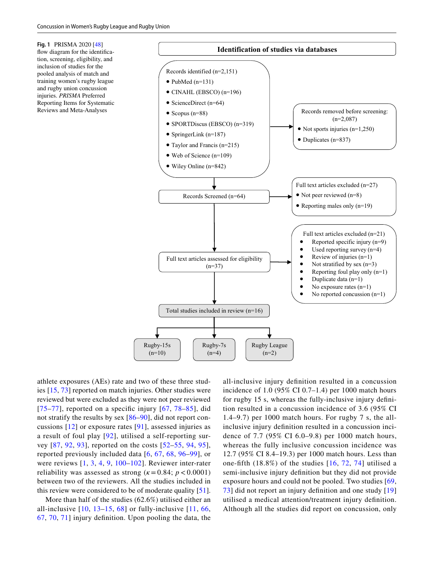<span id="page-4-0"></span>**Fig. 1** PRISMA 2020 [\[48\]](#page-11-20) flow diagram for the identification, screening, eligibility, and inclusion of studies for the pooled analysis of match and training women's rugby league and rugby union concussion injuries. *PRISMA* Preferred Reporting Items for Systematic Reviews and Meta-Analyses



athlete exposures (AEs) rate and two of these three studies [\[15,](#page-10-21) [73\]](#page-12-5) reported on match injuries. Other studies were reviewed but were excluded as they were not peer reviewed [[75](#page-12-10)–[77](#page-12-11)], reported on a specific injury  $[67, 78-85]$  $[67, 78-85]$  $[67, 78-85]$ , did not stratify the results by sex [[86](#page-12-15)[–90\]](#page-12-16), did not report concussions [[12](#page-10-22)] or exposure rates [[91](#page-12-17)], assessed injuries as a result of foul play [\[92](#page-12-18)], utilised a self-reporting survey [[87](#page-12-19), [92,](#page-12-18) [93](#page-12-20)], reported on the costs [\[52–](#page-11-24)[55,](#page-11-34) [94](#page-12-21), [95](#page-12-22)], reported previously included data [[6](#page-10-4), [67,](#page-12-12) [68](#page-12-6), [96](#page-12-23)–[99](#page-12-24)], or were reviews [\[1,](#page-10-0) [3,](#page-10-23) [4,](#page-10-1) [9,](#page-10-7) [100](#page-12-25)–[102\]](#page-13-0). Reviewer inter-rater reliability was assessed as strong  $(k = 0.84; p < 0.0001)$ between two of the reviewers. All the studies included in this review were considered to be of moderate quality [\[51](#page-11-23)].

More than half of the studies (62.6%) utilised either an all-inclusive  $[10, 13-15, 68]$  $[10, 13-15, 68]$  $[10, 13-15, 68]$  $[10, 13-15, 68]$  $[10, 13-15, 68]$  $[10, 13-15, 68]$  $[10, 13-15, 68]$  $[10, 13-15, 68]$  $[10, 13-15, 68]$  or fully-inclusive  $[11, 66, 6]$  $[11, 66, 6]$  $[11, 66, 6]$  $[11, 66, 6]$ [67,](#page-12-12) [70,](#page-12-4) [71](#page-12-9)] injury defnition. Upon pooling the data, the

all-inclusive injury defnition resulted in a concussion incidence of 1.0 (95% CI 0.7–1.4) per 1000 match hours for rugby 15 s, whereas the fully-inclusive injury defnition resulted in a concussion incidence of 3.6 (95% CI 1.4–9.7) per 1000 match hours. For rugby 7 s, the allinclusive injury defnition resulted in a concussion incidence of 7.7 (95% CI 6.0–9.8) per 1000 match hours, whereas the fully inclusive concussion incidence was 12.7 (95% CI 8.4–19.3) per 1000 match hours. Less than one-fifth  $(18.8\%)$  of the studies  $[16, 72, 74]$  $[16, 72, 74]$  $[16, 72, 74]$  $[16, 72, 74]$  $[16, 72, 74]$  $[16, 72, 74]$  utilised a semi-inclusive injury defnition but they did not provide exposure hours and could not be pooled. Two studies [\[69,](#page-12-8) [73\]](#page-12-5) did not report an injury defnition and one study [[19\]](#page-10-12) utilised a medical attention/treatment injury defnition. Although all the studies did report on concussion, only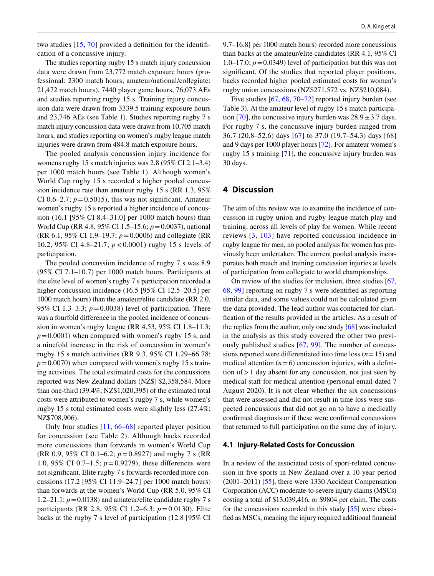two studies [\[15,](#page-10-21) [70](#page-12-4)] provided a defnition for the identifcation of a concussive injury.

The studies reporting rugby 15 s match injury concussion data were drawn from 23,772 match exposure hours (professional: 2300 match hours; amateur/national/collegiate: 21,472 match hours), 7440 player game hours, 76,073 AEs and studies reporting rugby 15 s. Training injury concussion data were drawn from 3339.5 training exposure hours and 23,746 AEs (see Table [1](#page-6-0)). Studies reporting rugby 7 s match injury concussion data were drawn from 10,705 match hours, and studies reporting on women's rugby league match injuries were drawn from 484.8 match exposure hours.

The pooled analysis concussion injury incidence for womens rugby 15 s match injuries was 2.8 (95% CI 2.1–3.4) per 1000 match hours (see Table [1\)](#page-6-0). Although women's World Cup rugby 15 s recorded a higher pooled concussion incidence rate than amateur rugby 15 s (RR 1.3, 95% CI 0.6–2.7;  $p = 0.5015$ ), this was not significant. Amateur women's rugby 15 s reported a higher incidence of concussion (16.1 [95% CI 8.4–31.0] per 1000 match hours) than World Cup (RR 4.8, 95% CI 1.5–15.6; *p*=0.0037), national (RR 6.1, 95% CI 1.9–19.7; *p*=0.0006) and collegiate (RR 10.2, 95% CI 4.8–21.7; *p*<0.0001) rugby 15 s levels of participation.

The pooled concussion incidence of rugby 7 s was 8.9 (95% CI 7.1–10.7) per 1000 match hours. Participants at the elite level of women's rugby 7 s participation recorded a higher concussion incidence (16.5 [95% CI 12.5–20.5] per 1000 match hours) than the amateur/elite candidate (RR 2.0, 95% CI 1.3–3.3; *p*=0.0038) level of participation. There was a fourfold diference in the pooled incidence of concussion in women's rugby league (RR 4.53, 95% CI 1.8–11.3;  $p=0.0001$ ) when compared with women's rugby 15 s, and a ninefold increase in the risk of concussion in women's rugby 15 s match activities (RR 9.3, 95% CI 1.29–66.78;  $p=0.0070$ ) when compared with women's rugby 15 s training activities. The total estimated costs for the concussions reported was New Zealand dollars (NZ\$) \$2,358,584. More than one-third (39.4%; NZ\$1,020,395) of the estimated total costs were attributed to women's rugby 7 s, while women's rugby 15 s total estimated costs were slightly less (27.4%; NZ\$708,906).

Only four studies [\[11](#page-10-18), [66–](#page-12-2)[68\]](#page-12-6) reported player position for concussion (see Table [2](#page-7-0)). Although backs recorded more concussions than forwards in women's World Cup (RR 0.9, 95% CI 0.1–6.2; *p*=0.8927) and rugby 7 s (RR 1.0, 95% CI 0.7–1.5;  $p = 0.9279$ ), these differences were not signifcant. Elite rugby 7 s forwards recorded more concussions (17.2 [95% CI 11.9–24.7] per 1000 match hours) than forwards at the women's World Cup (RR 5.0, 95% CI 1.2–21.1;  $p = 0.0138$ ) and amateur/elite candidate rugby 7 s participants (RR 2.8, 95% CI 1.2–6.3; *p*=0.0130). Elite backs at the rugby 7 s level of participation (12.8 [95% CI 9.7–16.8] per 1000 match hours) recorded more concussions than backs at the amateur/elite candidates (RR 4.1, 95% CI 1.0–17.0;  $p = 0.0349$ ) level of participation but this was not significant. Of the studies that reported player positions, backs recorded higher pooled estimated costs for women's rugby union concussions (NZ\$271,572 vs. NZ\$210,084).

Five studies [[67,](#page-12-12) [68](#page-12-6), [70–](#page-12-4)[72\]](#page-12-7) reported injury burden (see Table [3\)](#page-8-0). At the amateur level of rugby 15 s match participa-tion [[70\]](#page-12-4), the concussive injury burden was  $28.9 \pm 3.7$  days. For rugby 7 s, the concussive injury burden ranged from 36.7 (20.8–52.6) days [\[67\]](#page-12-12) to 37.0 (19.7–54.3) days [[68](#page-12-6)] and 9 days per 1000 player hours [\[72\]](#page-12-7). For amateur women's rugby 15 s training [[71\]](#page-12-9), the concussive injury burden was 30 days.

## **4 Discussion**

The aim of this review was to examine the incidence of concussion in rugby union and rugby league match play and training, across all levels of play for women. While recent reviews [\[3,](#page-10-23) [103\]](#page-13-1) have reported concussion incidence in rugby league for men, no pooled analysis for women has previously been undertaken. The current pooled analysis incorporates both match and training concussion injuries at levels of participation from collegiate to world championships.

On review of the studies for inclusion, three studies [[67,](#page-12-12) [68](#page-12-6), [99\]](#page-12-24) reporting on rugby 7 s were identifed as reporting similar data, and some values could not be calculated given the data provided. The lead author was contacted for clarifcation of the results provided in the articles. As a result of the replies from the author, only one study [\[68](#page-12-6)] was included in the analysis as this study covered the other two previously published studies [[67](#page-12-12), [99](#page-12-24)]. The number of concussions reported were differentiated into time loss  $(n=15)$  and medical attention  $(n=6)$  concussion injuries, with a definition of  $> 1$  day absent for any concussion, not just seen by medical staff for medical attention (personal email dated 7 August 2020). It is not clear whether the six concussions that were assessed and did not result in time loss were suspected concussions that did not go on to have a medically confrmed diagnosis or if these were confrmed concussions that returned to full participation on the same day of injury.

#### **4.1 Injury‑Related Costs for Concussion**

In a review of the associated costs of sport-related concussion in fve sports in New Zealand over a 10-year period (2001–2011) [\[55](#page-11-34)], there were 1330 Accident Compensation Corporation (ACC) moderate-to-severe injury claims (MSCs) costing a total of \$13,039,416, or \$9804 per claim. The costs for the concussions recorded in this study [\[55](#page-11-34)] were classifed as MSCs, meaning the injury required additional fnancial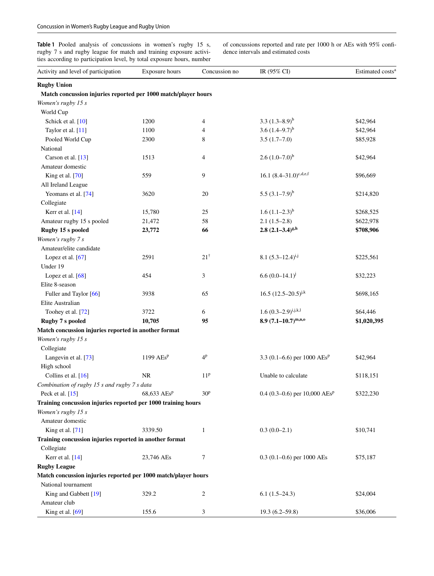<span id="page-6-0"></span>Table 1 Pooled analysis of concussions in women's rugby 15 s, rugby 7 s and rugby league for match and training exposure activities according to participation level, by total exposure hours, number of concussions reported and rate per 1000 h or AEs with 95% confdence intervals and estimated costs

| Activity and level of participation                            | Exposure hours                  | Concussion no   | IR (95% CI)                      | Estimated costs <sup>®</sup> |
|----------------------------------------------------------------|---------------------------------|-----------------|----------------------------------|------------------------------|
| <b>Rugby Union</b>                                             |                                 |                 |                                  |                              |
| Match concussion injuries reported per 1000 match/player hours |                                 |                 |                                  |                              |
| Women's rugby 15 s                                             |                                 |                 |                                  |                              |
| World Cup                                                      |                                 |                 |                                  |                              |
| Schick et al. [10]                                             | 1200                            | 4               | 3.3 $(1.3-8.9)^b$                | \$42,964                     |
| Taylor et al. [11]                                             | 1100                            | 4               | 3.6 $(1.4-9.7)^{b}$              | \$42,964                     |
| Pooled World Cup                                               | 2300                            | 8               | $3.5(1.7-7.0)$                   | \$85,928                     |
| National                                                       |                                 |                 |                                  |                              |
| Carson et al. [13]                                             | 1513                            | 4               | $2.6 (1.0 - 7.0)^{b}$            | \$42,964                     |
| Amateur domestic                                               |                                 |                 |                                  |                              |
| King et al. [70]                                               | 559                             | 9               | 16.1 $(8.4-31.0)^{c,d,e,f}$      | \$96,669                     |
| All Ireland League                                             |                                 |                 |                                  |                              |
| Yeomans et al. [74]                                            | 3620                            | $20\,$          | 5.5 $(3.1-7.9)^{b}$              | \$214,820                    |
| Collegiate                                                     |                                 |                 |                                  |                              |
| Kerr et al. [14]                                               | 15,780                          | 25              | $1.6 (1.1–2.3)^{b}$              | \$268,525                    |
| Amateur rugby 15 s pooled                                      | 21,472                          | 58              | $2.1(1.5-2.8)$                   | \$622,978                    |
| Rugby 15 s pooled                                              | 23,772                          | 66              | $2.8 (2.1 - 3.4)^{g,h}$          | \$708,906                    |
| Women's rugby 7 s                                              |                                 |                 |                                  |                              |
| Amateur/elite candidate                                        |                                 |                 |                                  |                              |
| Lopez et al. [67]                                              | 2591                            | $21^{\dagger}$  | 8.1 $(5.3-12.4)^{i,j}$           | \$225,561                    |
| Under 19                                                       |                                 |                 |                                  |                              |
| Lopez et al. $[68]$                                            | 454                             | 3               | $6.6(0.0-14.1)^{j}$              | \$32,223                     |
| Elite 8-season                                                 |                                 |                 |                                  |                              |
| Fuller and Taylor [66]                                         | 3938                            | 65              | 16.5 $(12.5-20.5)^{j,k}$         | \$698,165                    |
| Elite Australian                                               |                                 |                 |                                  |                              |
| Toohey et al. [72]                                             | 3722                            | 6               | $1.6 (0.3 - 2.9)^{i,j,k,l}$      | \$64,446                     |
| <b>Rugby 7 s pooled</b>                                        | 10,705                          | 95              | $8.9 (7.1 - 10.7)^{m,n,o}$       | \$1,020,395                  |
| Match concussion injuries reported in another format           |                                 |                 |                                  |                              |
| Women's rugby 15 s                                             |                                 |                 |                                  |                              |
| Collegiate                                                     |                                 |                 |                                  |                              |
| Langevin et al. [73]                                           | 1199 $AEs^p$                    | 4 <sup>p</sup>  | 3.3 (0.1–6.6) per 1000 $AEs^p$   | \$42,964                     |
| High school                                                    |                                 |                 |                                  |                              |
| Collins et al. [16]                                            | NR                              | 11 <sup>p</sup> | Unable to calculate              | \$118,151                    |
| Combination of rugby 15 s and rugby 7 s data                   |                                 |                 |                                  |                              |
| Peck et al. $[15]$                                             | $68,633 \text{ AES}^{\text{p}}$ | 30 <sup>p</sup> | 0.4 (0.3-0.6) per 10,000 $AEs^p$ | \$322,230                    |
| Training concussion injuries reported per 1000 training hours  |                                 |                 |                                  |                              |
| Women's rugby 15 s                                             |                                 |                 |                                  |                              |
| Amateur domestic                                               |                                 |                 |                                  |                              |
| King et al. [71]                                               | 3339.50                         | $\mathbf{1}$    | $0.3(0.0-2.1)$                   | \$10,741                     |
| Training concussion injuries reported in another format        |                                 |                 |                                  |                              |
| Collegiate                                                     |                                 |                 |                                  |                              |
| Kerr et al. [14]                                               | 23,746 AEs                      | 7               | $0.3$ (0.1–0.6) per 1000 AEs     | \$75,187                     |
| <b>Rugby League</b>                                            |                                 |                 |                                  |                              |
| Match concussion injuries reported per 1000 match/player hours |                                 |                 |                                  |                              |
| National tournament                                            |                                 |                 |                                  |                              |
| King and Gabbett [19]                                          | 329.2                           | 2               | $6.1(1.5-24.3)$                  | \$24,004                     |
| Amateur club                                                   |                                 |                 |                                  |                              |
| King et al. [69]                                               | 155.6                           | 3               | $19.3(6.2 - 59.8)$               | \$36,006                     |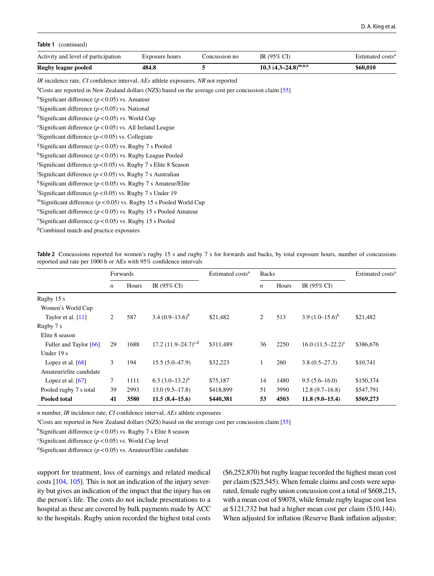#### **Table 1** (continued)

| Activity and level of participation                                                                               | Exposure hours | Concussion no | IR $(95\% \text{ CI})$      | Estimated costs <sup>a</sup> |  |  |  |
|-------------------------------------------------------------------------------------------------------------------|----------------|---------------|-----------------------------|------------------------------|--|--|--|
| <b>Rugby league pooled</b>                                                                                        | 484.8          | 5             | $10.3$ $(4.3-24.8)^{m,n,0}$ | \$60,010                     |  |  |  |
| <i>IR</i> incidence rate, <i>CI</i> confidence interval, <i>AEs</i> athlete exposures, <i>NR</i> not reported     |                |               |                             |                              |  |  |  |
| <sup>a</sup> Costs are reported in New Zealand dollars (NZ\$) based on the average cost per concussion claim [55] |                |               |                             |                              |  |  |  |
| <sup>b</sup> Significant difference ( $p < 0.05$ ) vs. Amateur                                                    |                |               |                             |                              |  |  |  |
| <sup>c</sup> Significant difference ( $p < 0.05$ ) vs. National                                                   |                |               |                             |                              |  |  |  |
| <sup>d</sup> Significant difference ( $p$ <0.05) vs. World Cup                                                    |                |               |                             |                              |  |  |  |
| <sup>e</sup> Significant difference ( $p < 0.05$ ) vs. All Ireland League                                         |                |               |                             |                              |  |  |  |
| <sup>f</sup> Significant difference ( $p < 0.05$ ) vs. Collegiate                                                 |                |               |                             |                              |  |  |  |
| <sup>g</sup> Significant difference ( $p$ <0.05) vs. Rugby 7 s Pooled                                             |                |               |                             |                              |  |  |  |
| <sup>h</sup> Significant difference ( $p$ <0.05) vs. Rugby League Pooled                                          |                |               |                             |                              |  |  |  |
| <sup>1</sup> Significant difference ( $p < 0.05$ ) vs. Rugby 7 s Elite 8 Season                                   |                |               |                             |                              |  |  |  |
| <sup>j</sup> Significant difference ( $p < 0.05$ ) vs. Rugby 7 s Australian                                       |                |               |                             |                              |  |  |  |
| <sup>k</sup> Significant difference ( $p < 0.05$ ) vs. Rugby 7 s Amateur/Elite                                    |                |               |                             |                              |  |  |  |
| <sup>1</sup> Significant difference ( $p < 0.05$ ) vs. Rugby 7 s Under 19                                         |                |               |                             |                              |  |  |  |
| "Significant difference ( $p < 0.05$ ) vs. Rugby 15 s Pooled World Cup                                            |                |               |                             |                              |  |  |  |
| <sup>n</sup> Significant difference ( $p < 0.05$ ) vs. Rugby 15 s Pooled Amateur                                  |                |               |                             |                              |  |  |  |
| <sup>o</sup> Significant difference ( $p$ <0.05) vs. Rugby 15 s Pooled                                            |                |               |                             |                              |  |  |  |
| <sup>p</sup> Combined match and practice exposures                                                                |                |               |                             |                              |  |  |  |

<span id="page-7-0"></span>**Table 2** Concussions reported for women's rugby 15 s and rugby 7 s for forwards and backs, by total exposure hours, number of concussions reported and rate per 1000 h or AEs with 95% confdence intervals

|                         | Forwards         |       | Estimated costs <sup>a</sup> | <b>Backs</b> |                  |       | Estimated costs <sup>a</sup> |           |
|-------------------------|------------------|-------|------------------------------|--------------|------------------|-------|------------------------------|-----------|
|                         | $\boldsymbol{n}$ | Hours | IR $(95\% \text{ CI})$       |              | $\boldsymbol{n}$ | Hours | IR $(95\%$ CI)               |           |
| Rugby 15 s              |                  |       |                              |              |                  |       |                              |           |
| Women's World Cup       |                  |       |                              |              |                  |       |                              |           |
| Taylor et al. $[11]$    | $\overline{2}$   | 587   | $3.4(0.9-13.6)^b$            | \$21,482     | 2                | 513   | $3.9(1.0-15.6)^{b}$          | \$21,482  |
| Rugby 7 s               |                  |       |                              |              |                  |       |                              |           |
| Elite 8 season          |                  |       |                              |              |                  |       |                              |           |
| Fuller and Taylor [66]  | 29               | 1688  | 17.2 $(11.9-24.7)^{c,d}$     | \$311,489    | 36               | 2250  | $16.0 (11.5 - 22.2)^c$       | \$386,676 |
| Under $19s$             |                  |       |                              |              |                  |       |                              |           |
| Lopez et al. $[68]$     | 3                | 194   | $15.5(5.0-47.9)$             | \$32,223     | $\mathbf{1}$     | 260   | $3.8(0.5-27.3)$              | \$10,741  |
| Amateur/elite candidate |                  |       |                              |              |                  |       |                              |           |
| Lopez et al. $[67]$     | 7                | 1111  | 6.3 $(3.0-13.2)^{b}$         | \$75,187     | 14               | 1480  | $9.5(5.6 - 16.0)$            | \$150,374 |
| Pooled rugby 7 s total  | 39               | 2993  | $13.0(9.5-17.8)$             | \$418,899    | 51               | 3990  | $12.8(9.7-16.8)$             | \$547,791 |
| <b>Pooled total</b>     | 41               | 3580  | $11.5(8.4-15.6)$             | \$440,381    | 53               | 4503  | $11.8(9.0-15.4)$             | \$569,273 |

*n* number, *IR* incidence rate, *CI* confdence interval, *AEs* athlete exposures

<sup>a</sup>Costs are reported in New Zealand dollars (NZ\$) based on the average cost per concussion claim [[55](#page-11-34)]

<sup>b</sup>Significant difference  $(p < 0.05)$  vs. Rugby 7 s Elite 8 season

<sup>c</sup>Significant difference ( $p$ <0.05) vs. World Cup level

<sup>d</sup>Significant difference  $(p < 0.05)$  vs. Amateur/Elite candidate

support for treatment, loss of earnings and related medical costs [\[104,](#page-13-2) [105](#page-13-3)]. This is not an indication of the injury severity but gives an indication of the impact that the injury has on the person's life. The costs do not include presentations to a hospital as these are covered by bulk payments made by ACC to the hospitals. Rugby union recorded the highest total costs (\$6,252,870) but rugby league recorded the highest mean cost per claim (\$25,545). When female claims and costs were separated, female rugby union concussion cost a total of \$608,215, with a mean cost of \$9078, while female rugby league cost less at \$121,732 but had a higher mean cost per claim (\$10,144). When adjusted for infation (Reserve Bank infation adjustor;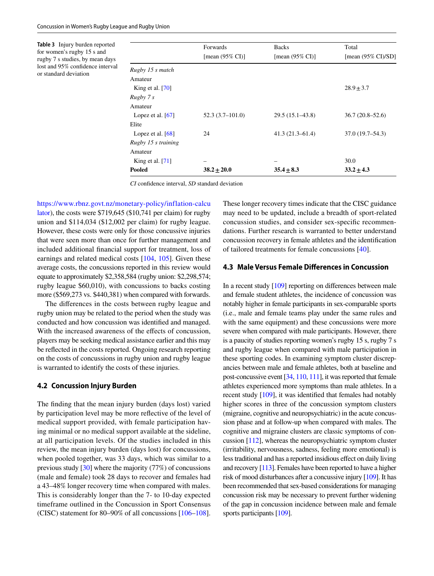<span id="page-8-0"></span>**Table 3** Injury burden reported for women's rugby 15 s and rugby 7 s studies, by mean days lost and 95% confdence interval or standard deviation

|                     | <b>Forwards</b>             | <b>Backs</b>                | Total                          |
|---------------------|-----------------------------|-----------------------------|--------------------------------|
|                     | [mean $(95\% \text{ CI})$ ] | [mean $(95\% \text{ CI})$ ] | [mean $(95\% \text{ CI})$ /SD] |
| Rugby 15 s match    |                             |                             |                                |
| Amateur             |                             |                             |                                |
| King et al. $[70]$  |                             |                             | $28.9 \pm 3.7$                 |
| Rugby 7s            |                             |                             |                                |
| Amateur             |                             |                             |                                |
| Lopez et al. $[67]$ | $52.3(3.7-101.0)$           | $29.5(15.1 - 43.8)$         | $36.7(20.8 - 52.6)$            |
| Elite               |                             |                             |                                |
| Lopez et al. $[68]$ | 24                          | $41.3(21.3-61.4)$           | $37.0(19.7 - 54.3)$            |
| Rugby 15 s training |                             |                             |                                |
| Amateur             |                             |                             |                                |
| King et al. $[71]$  |                             |                             | 30.0                           |
| Pooled              | $38.2 \pm 20.0$             | $35.4 \pm 8.3$              | $33.2 \pm 4.3$                 |

*CI* confdence interval, *SD* standard deviation

[https://www.rbnz.govt.nz/monetary-policy/inflation-calcu](https://www.rbnz.govt.nz/monetary-policy/inflation-calculator) [lator\)](https://www.rbnz.govt.nz/monetary-policy/inflation-calculator), the costs were \$719,645 (\$10,741 per claim) for rugby union and \$114,034 (\$12,002 per claim) for rugby league. However, these costs were only for those concussive injuries that were seen more than once for further management and included additional fnancial support for treatment, loss of earnings and related medical costs [[104,](#page-13-2) [105](#page-13-3)]. Given these average costs, the concussions reported in this review would equate to approximately \$2,358,584 (rugby union: \$2,298,574; rugby league \$60,010), with concussions to backs costing more (\$569,273 vs. \$440,381) when compared with forwards.

The diferences in the costs between rugby league and rugby union may be related to the period when the study was conducted and how concussion was identifed and managed. With the increased awareness of the effects of concussion, players may be seeking medical assistance earlier and this may be refected in the costs reported. Ongoing research reporting on the costs of concussions in rugby union and rugby league is warranted to identify the costs of these injuries.

### **4.2 Concussion Injury Burden**

The fnding that the mean injury burden (days lost) varied by participation level may be more refective of the level of medical support provided, with female participation having minimal or no medical support available at the sideline, at all participation levels. Of the studies included in this review, the mean injury burden (days lost) for concussions, when pooled together, was 33 days, which was similar to a previous study [[30](#page-11-35)] where the majority (77%) of concussions (male and female) took 28 days to recover and females had a 43–48% longer recovery time when compared with males. This is considerably longer than the 7- to 10-day expected timeframe outlined in the Concussion in Sport Consensus (CISC) statement for 80–90% of all concussions [\[106](#page-13-4)[–108](#page-13-5)].

These longer recovery times indicate that the CISC guidance may need to be updated, include a breadth of sport-related concussion studies, and consider sex-specifc recommendations. Further research is warranted to better understand concussion recovery in female athletes and the identifcation of tailored treatments for female concussions [\[40](#page-11-12)].

## **4.3 Male Versus Female Diferences in Concussion**

In a recent study [\[109](#page-13-6)] reporting on diferences between male and female student athletes, the incidence of concussion was notably higher in female participants in sex-comparable sports (i.e., male and female teams play under the same rules and with the same equipment) and these concussions were more severe when compared with male participants. However, there is a paucity of studies reporting women's rugby 15 s, rugby 7 s and rugby league when compared with male participation in these sporting codes. In examining symptom cluster discrepancies between male and female athletes, both at baseline and post-concussive event [[34](#page-11-6), [110](#page-13-7), [111\]](#page-13-8), it was reported that female athletes experienced more symptoms than male athletes. In a recent study [[109](#page-13-6)], it was identifed that females had notably higher scores in three of the concussion symptom clusters (migraine, cognitive and neuropsychiatric) in the acute concussion phase and at follow-up when compared with males. The cognitive and migraine clusters are classic symptoms of concussion [\[112\]](#page-13-9), whereas the neuropsychiatric symptom cluster (irritability, nervousness, sadness, feeling more emotional) is less traditional and has a reported insidious efect on daily living and recovery [\[113](#page-13-10)]. Females have been reported to have a higher risk of mood disturbances after a concussive injury [\[109](#page-13-6)]. It has been recommended that sex-based considerations for managing concussion risk may be necessary to prevent further widening of the gap in concussion incidence between male and female sports participants [\[109](#page-13-6)].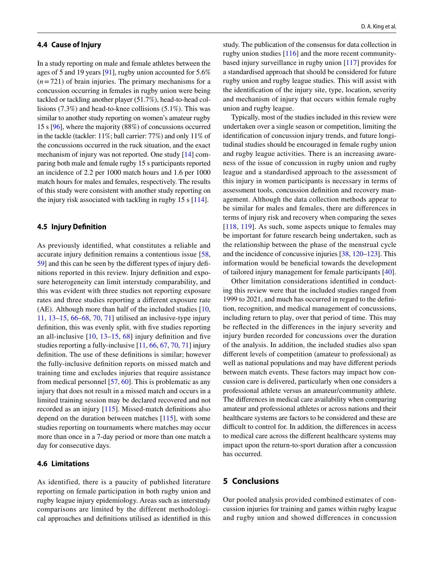#### **4.4 Cause of Injury**

In a study reporting on male and female athletes between the ages of 5 and 19 years [\[91](#page-12-17)], rugby union accounted for 5.6% (*n*=721) of brain injuries. The primary mechanisms for a concussion occurring in females in rugby union were being tackled or tackling another player (51.7%), head-to-head collisions (7.3%) and head-to-knee collisions (5.1%). This was similar to another study reporting on women's amateur rugby 15 s [[96](#page-12-23)], where the majority (88%) of concussions occurred in the tackle (tackler: 11%; ball carrier: 77%) and only 11% of the concussions occurred in the ruck situation, and the exact mechanism of injury was not reported. One study [[14\]](#page-10-20) comparing both male and female rugby 15 s participants reported an incidence of 2.2 per 1000 match hours and 1.6 per 1000 match hours for males and females, respectively. The results of this study were consistent with another study reporting on the injury risk associated with tackling in rugby 15 s [[114\]](#page-13-11).

## **4.5 Injury Defnition**

As previously identifed, what constitutes a reliable and accurate injury defnition remains a contentious issue [\[58,](#page-11-28) [59](#page-11-29)] and this can be seen by the diferent types of injury defnitions reported in this review. Injury defnition and exposure heterogeneity can limit interstudy comparability, and this was evident with three studies not reporting exposure rates and three studies reporting a diferent exposure rate (AE). Although more than half of the included studies  $[10, 10]$  $[10, 10]$  $[10, 10]$ [11](#page-10-18), [13–](#page-10-19)[15,](#page-10-21) [66](#page-12-2)[–68](#page-12-6), [70,](#page-12-4) [71](#page-12-9)] utilised an inclusive-type injury defnition, this was evenly split, with fve studies reporting an all-inclusive [\[10,](#page-10-8) [13–](#page-10-19)[15](#page-10-21), [68\]](#page-12-6) injury defnition and fve studies reporting a fully-inclusive [\[11](#page-10-18), [66](#page-12-2), [67,](#page-12-12) [70,](#page-12-4) [71](#page-12-9)] injury defnition. The use of these defnitions is similar; however the fully-inclusive defnition reports on missed match and training time and excludes injuries that require assistance from medical personnel [[57,](#page-11-27) [60\]](#page-11-30). This is problematic as any injury that does not result in a missed match and occurs in a limited training session may be declared recovered and not recorded as an injury [\[115\]](#page-13-12). Missed-match defnitions also depend on the duration between matches [[115](#page-13-12)], with some studies reporting on tournaments where matches may occur more than once in a 7-day period or more than one match a day for consecutive days.

## **4.6 Limitations**

As identified, there is a paucity of published literature reporting on female participation in both rugby union and rugby league injury epidemiology. Areas such as interstudy comparisons are limited by the different methodological approaches and defnitions utilised as identifed in this

study. The publication of the consensus for data collection in rugby union studies [[116\]](#page-13-13) and the more recent communitybased injury surveillance in rugby union [[117](#page-13-14)] provides for a standardised approach that should be considered for future rugby union and rugby league studies. This will assist with the identifcation of the injury site, type, location, severity and mechanism of injury that occurs within female rugby union and rugby league.

Typically, most of the studies included in this review were undertaken over a single season or competition, limiting the identifcation of concussion injury trends, and future longitudinal studies should be encouraged in female rugby union and rugby league activities. There is an increasing awareness of the issue of concussion in rugby union and rugby league and a standardised approach to the assessment of this injury in women participants is necessary in terms of assessment tools, concussion defnition and recovery management. Although the data collection methods appear to be similar for males and females, there are diferences in terms of injury risk and recovery when comparing the sexes [[118,](#page-13-15) [119\]](#page-13-16). As such, some aspects unique to females may be important for future research being undertaken, such as the relationship between the phase of the menstrual cycle and the incidence of concussive injuries [[38,](#page-11-10) [120–](#page-13-17)[123\]](#page-13-18). This information would be benefcial towards the development of tailored injury management for female participants [[40](#page-11-12)].

Other limitation considerations identifed in conducting this review were that the included studies ranged from 1999 to 2021, and much has occurred in regard to the defnition, recognition, and medical management of concussions, including return to play, over that period of time. This may be refected in the diferences in the injury severity and injury burden recorded for concussions over the duration of the analysis. In addition, the included studies also span diferent levels of competition (amateur to professional) as well as national populations and may have diferent periods between match events. These factors may impact how concussion care is delivered, particularly when one considers a professional athlete versus an amateur/community athlete. The diferences in medical care availability when comparing amateur and professional athletes or across nations and their healthcare systems are factors to be considered and these are difficult to control for. In addition, the differences in access to medical care across the diferent healthcare systems may impact upon the return-to-sport duration after a concussion has occurred.

## **5 Conclusions**

Our pooled analysis provided combined estimates of concussion injuries for training and games within rugby league and rugby union and showed diferences in concussion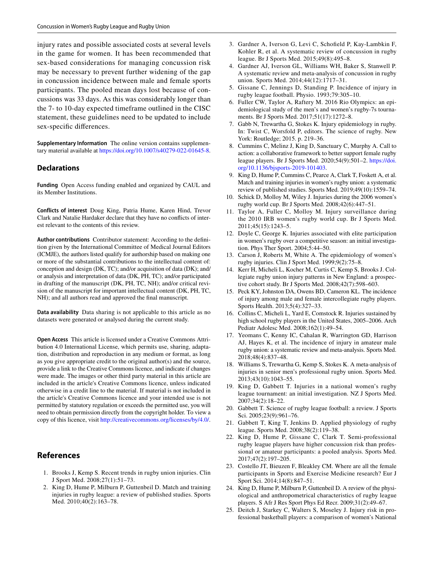injury rates and possible associated costs at several levels in the game for women. It has been recommended that sex-based considerations for managing concussion risk may be necessary to prevent further widening of the gap in concussion incidence between male and female sports participants. The pooled mean days lost because of concussions was 33 days. As this was considerably longer than the 7- to 10-day expected timeframe outlined in the CISC statement, these guidelines need to be updated to include sex-specifc diferences.

**Supplementary Information** The online version contains supplementary material available at<https://doi.org/10.1007/s40279-022-01645-8>.

#### **Declarations**

**Funding** Open Access funding enabled and organized by CAUL and its Member Institutions.

**Conflicts of interest** Doug King, Patria Hume, Karen Hind, Trevor Clark and Natalie Hardaker declare that they have no conficts of interest relevant to the contents of this review.

**Author contributions** Contributor statement: According to the defnition given by the International Committee of Medical Journal Editors (ICMJE), the authors listed qualify for authorship based on making one or more of the substantial contributions to the intellectual content of: conception and design (DK, TC); and/or acquisition of data (DK); and/ or analysis and interpretation of data (DK, PH, TC); and/or participated in drafting of the manuscript (DK, PH, TC, NH); and/or critical revision of the manuscript for important intellectual content (DK, PH, TC, NH); and all authors read and approved the fnal manuscript.

**Data availability** Data sharing is not applicable to this article as no datasets were generated or analysed during the current study.

**Open Access** This article is licensed under a Creative Commons Attribution 4.0 International License, which permits use, sharing, adaptation, distribution and reproduction in any medium or format, as long as you give appropriate credit to the original author(s) and the source, provide a link to the Creative Commons licence, and indicate if changes were made. The images or other third party material in this article are included in the article's Creative Commons licence, unless indicated otherwise in a credit line to the material. If material is not included in the article's Creative Commons licence and your intended use is not permitted by statutory regulation or exceeds the permitted use, you will need to obtain permission directly from the copyright holder. To view a copy of this licence, visit <http://creativecommons.org/licenses/by/4.0/>.

## **References**

- <span id="page-10-0"></span>1. Brooks J, Kemp S. Recent trends in rugby union injuries. Clin J Sport Med. 2008;27(1):51–73.
- <span id="page-10-2"></span>2. King D, Hume P, Milburn P, Guttenbeil D. Match and training injuries in rugby league: a review of published studies. Sports Med. 2010;40(2):163–78.
- <span id="page-10-23"></span>3. Gardner A, Iverson G, Levi C, Schofeld P, Kay-Lambkin F, Kohler R, et al. A systematic review of concussion in rugby league. Br J Sports Med. 2015;49(8):495–8.
- <span id="page-10-1"></span>4. Gardner AJ, Iverson GL, Williams WH, Baker S, Stanwell P. A systematic review and meta-analysis of concussion in rugby union. Sports Med. 2014;44(12):1717–31.
- <span id="page-10-3"></span>5. Gissane C, Jennings D, Standing P. Incidence of injury in rugby league football. Physio. 1993;79:305–10.
- <span id="page-10-4"></span>6. Fuller CW, Taylor A, Raftery M. 2016 Rio Olympics: an epidemiological study of the men's and women's rugby-7s tournaments. Br J Sports Med. 2017;51(17):1272–8.
- <span id="page-10-5"></span>7. Gabb N, Trewartha G, Stokes K. Injury epidemiology in rugby. In: Twist C, Worsfold P, editors. The science of rugby. New York: Routledge; 2015. p. 219–36.
- <span id="page-10-6"></span>8. Cummins C, Melinz J, King D, Sanctuary C, Murphy A. Call to action: a collaborative framework to better support female rugby league players. Br J Sports Med. 2020;54(9):501–2. [https://doi.](https://doi.org/10.1136/bjsports-2019-101403) [org/10.1136/bjsports-2019-101403.](https://doi.org/10.1136/bjsports-2019-101403)
- <span id="page-10-7"></span>9. King D, Hume P, Cummins C, Pearce A, Clark T, Foskett A, et al. Match and training injuries in women's rugby union: a systematic review of published studies. Sports Med. 2019;49(10):1559–74.
- <span id="page-10-8"></span>10. Schick D, Molloy M, Wiley J. Injuries during the 2006 women's rugby world cup. Br J Sports Med. 2008;42(6):447–51.
- <span id="page-10-18"></span>11. Taylor A, Fuller C, Molloy M. Injury surveillance during the 2010 IRB women's rugby world cup. Br J Sports Med. 2011;45(15):1243–5.
- <span id="page-10-22"></span>12. Doyle C, George K. Injuries associated with elite participation in women's rugby over a competitive season: an initial investigation. Phys Ther Sport. 2004;5:44–50.
- <span id="page-10-19"></span>13. Carson J, Roberts M, White A. The epidemiology of women's rugby injuries. Clin J Sport Med. 1999;9(2):75–8.
- <span id="page-10-20"></span>14. Kerr H, Micheli L, Kocher M, Curtis C, Kemp S, Brooks J. Collegiate rugby union injury patterns in New England: a prospective cohort study. Br J Sports Med. 2008;42(7):598–603.
- <span id="page-10-21"></span>15. Peck KY, Johnston DA, Owens BD, Cameron KL. The incidence of injury among male and female intercollegiate rugby players. Sports Health. 2013;5(4):327–33.
- <span id="page-10-9"></span>16. Collins C, Micheli L, Yard E, Comstock R. Injuries sustained by high school rugby players in the United States, 2005–2006. Arch Pediatr Adolesc Med. 2008;162(1):49–54.
- <span id="page-10-10"></span>17. Yeomans C, Kenny IC, Cahalan R, Warrington GD, Harrison AJ, Hayes K, et al. The incidence of injury in amateur male rugby union: a systematic review and meta-analysis. Sports Med. 2018;48(4):837–48.
- <span id="page-10-11"></span>18. Williams S, Trewartha G, Kemp S, Stokes K. A meta-analysis of injuries in senior men's professional rugby union. Sports Med. 2013;43(10):1043–55.
- <span id="page-10-12"></span>19. King D, Gabbett T. Injuries in a national women's rugby league tournament: an initial investigation. NZ J Sports Med. 2007;34(2):18–22.
- <span id="page-10-13"></span>20. Gabbett T. Science of rugby league football: a review. J Sports Sci. 2005;23(9):961–76.
- 21. Gabbett T, King T, Jenkins D. Applied physiology of rugby league. Sports Med. 2008;38(2):119–38.
- <span id="page-10-14"></span>22. King D, Hume P, Gissane C, Clark T. Semi-professional rugby league players have higher concussion risk than professional or amateur participants: a pooled analysis. Sports Med. 2017;47(2):197–205.
- <span id="page-10-15"></span>23. Costello JT, Bieuzen F, Bleakley CM. Where are all the female participants in Sports and Exercise Medicine research? Eur J Sport Sci. 2014;14(8):847–51.
- <span id="page-10-16"></span>24. King D, Hume P, Milburn P, Guttenbeil D. A review of the physiological and anthropometrical characteristics of rugby league players. S Afr J Res Sport Phys Ed Recr. 2009;31(2):49–67.
- <span id="page-10-17"></span>25. Deitch J, Starkey C, Walters S, Moseley J. Injury risk in professional basketball players: a comparison of women's National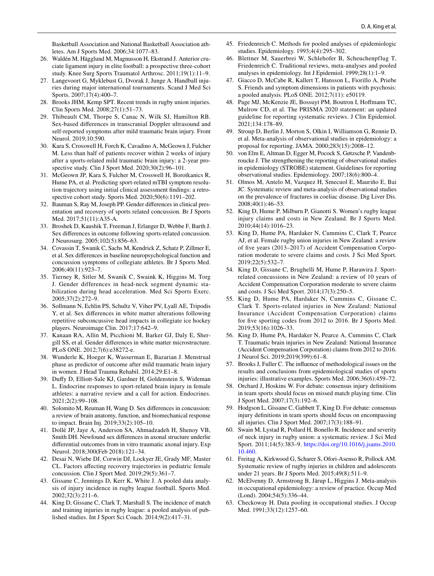Basketball Association and National Basketball Association athletes. Am J Sports Med. 2006;34:1077–83.

- <span id="page-11-0"></span>26. Waldén M, Hägglund M, Magnusson H, Ekstrand J. Anterior cruciate ligament injury in elite football: a prospective three-cohort study. Knee Surg Sports Traumatol Arthrosc. 2011;19(1):11–9.
- <span id="page-11-1"></span>27. Langevoort G, Myklebust G, Dvorak J, Junge A. Handball injuries during major international tournaments. Scand J Med Sci Sports. 2007;17(4):400–7.
- <span id="page-11-2"></span>28. Brooks JHM, Kemp SPT. Recent trends in rugby union injuries. Clin Sports Med. 2008;27(1):51–73.
- <span id="page-11-3"></span>29. Thibeault CM, Thorpe S, Canac N, Wilk SJ, Hamilton RB. Sex-based diferences in transcranial Doppler ultrasound and self-reported symptoms after mild traumatic brain injury. Front Neurol. 2019;10:590.
- <span id="page-11-35"></span>30. Kara S, Crosswell H, Forch K, Cavadino A, McGeown J, Fulcher M. Less than half of patients recover within 2 weeks of injury after a sports-related mild traumatic brain injury: a 2-year prospective study. Clin J Sport Med. 2020;30(2):96–101.
- 31. McGeown JP, Kara S, Fulcher M, Crosswell H, Borotkanics R, Hume PA, et al. Predicting sport-related mTBI symptom resolution trajectory using initial clinical assessment fndings: a retrospective cohort study. Sports Med. 2020;50(6):1191–202.
- <span id="page-11-4"></span>32. Bauman S, Ray M, Joseph PP. Gender diferences in clinical presentation and recovery of sports related concussion. Br J Sports Med. 2017;51(11):A35-A.
- <span id="page-11-5"></span>33. Broshek D, Kaushik T, Freeman J, Erlanger D, Webbe F, Barth J. Sex diferences in outcome following sports-related concussion. J Neurosurg. 2005;102(5):856–63.
- <span id="page-11-6"></span>34. Covassin T, Swanik C, Sachs M, Kendrick Z, Schatz P, Zillmer E, et al. Sex diferences in baseline neuropsychological function and concussion symptoms of collegiate athletes. Br J Sports Med. 2006;40(11):923–7.
- <span id="page-11-7"></span>35. Tierney R, Sitler M, Swanik C, Swaink K, Higgins M, Torg J. Gender differences in head-neck segment dynamic stabilization during head acceleration. Med Sci Sports Exerc. 2005;37(2):272–9.
- <span id="page-11-8"></span>36. Sollmann N, Echlin PS, Schultz V, Viher PV, Lyall AE, Tripodis Y, et al. Sex diferences in white matter alterations following repetitive subconcussive head impacts in collegiate ice hockey players. Neuroimage Clin. 2017;17:642–9.
- <span id="page-11-9"></span>37. Kanaan RA, Allin M, Picchioni M, Barker GJ, Daly E, Shergill SS, et al. Gender diferences in white matter microstructure. PLoS ONE. 2012;7(6):e38272-e.
- <span id="page-11-10"></span>38. Wunderle K, Hoeger K, Wasserman E, Bazarian J. Menstrual phase as predictor of outcome after mild traumatic brain injury in women. J Head Trauma Rehabil. 2014;29:E1–8.
- <span id="page-11-11"></span>39. Dufy D, Elliott-Sale KJ, Gardner H, Goldenstein S, Wideman L. Endocrine responses to sport-related brain injury in female athletes: a narrative review and a call for action. Endocrines. 2021;2(2):99–108.
- <span id="page-11-12"></span>40. Solomito M, Reuman H, Wang D. Sex diferences in concussion: a review of brain anatomy, function, and biomechanical response to impact. Brain Inj. 2019;33(2):105–10.
- <span id="page-11-13"></span>41. Dollé JP, Jaye A, Anderson SA, Ahmadzadeh H, Shenoy VB, Smith DH. Newfound sex diferences in axonal structure underlie diferential outcomes from in vitro traumatic axonal injury. Exp Neurol. 2018;300(Feb 2018):121–34.
- <span id="page-11-14"></span>42. Desai N, Wiebe DJ, Corwin DJ, Lockyer JE, Grady MF, Master CL. Factors afecting recovery trajectories in pediatric female concussion. Clin J Sport Med. 2019;29(5):361–7.
- <span id="page-11-15"></span>43. Gissane C, Jennings D, Kerr K, White J. A pooled data analysis of injury incidence in rugby league football. Sports Med. 2002;32(3):211–6.
- <span id="page-11-16"></span>44. King D, Gissane C, Clark T, Marshall S. The incidence of match and training injuries in rugby league: a pooled analysis of published studies. Int J Sport Sci Coach. 2014;9(2):417–31.
- <span id="page-11-17"></span>45. Friedenreich C. Methods for pooled analyses of epidemiologic studies. Epidemiology. 1993;4(4):295–302.
- <span id="page-11-18"></span>46. Blettner M, Sauerbrei W, Schlehofer B, Scheuchenpflug T, Friedenreich C. Traditional reviews, meta-analyses and pooled analyses in epidemiology. Int J Epidemiol. 1999;28(1):1–9.
- <span id="page-11-19"></span>47. Giacco D, McCabe R, Kallert T, Hansson L, Fiorillo A, Priebe S. Friends and symptom dimensions in patients with psychosis: a pooled analysis. PLoS ONE. 2012;7(11): e50119.
- <span id="page-11-20"></span>48. Page MJ, McKenzie JE, Bossuyt PM, Boutron I, Hofmann TC, Mulrow CD, et al. The PRISMA 2020 statement: an updated guideline for reporting systematic reviews. J Clin Epidemiol. 2021;134:178–89.
- <span id="page-11-21"></span>49. Stroup D, Berlin J, Morton S, Olkin I, Williamson G, Rennie D, et al. Meta-analysis of observational studies in epidemiology: a proposal for reporting. JAMA. 2000;283(15):2008–12.
- <span id="page-11-22"></span>50. von Elm E, Altman D, Egger M, Pocock S, Gøtzsche P, Vandenbroucke J. The strengthening the reporting of observational studies in epidemiology (STROBE) statement. Guidelines for reporting observational studies. Epidemiology. 2007;18(6):800–4.
- <span id="page-11-23"></span>51. Olmos M, Antelo M, Vazquez H, Smecuol E, Mauriño E, Bai JC. Systematic review and meta-analysis of observational studies on the prevalence of fractures in coeliac disease. Dig Liver Dis. 2008;40(1):46–53.
- <span id="page-11-24"></span>52. King D, Hume P, Milburn P, Gianotti S. Women's rugby league injury claims and costs in New Zealand. Br J Sports Med. 2010;44(14):1016–23.
- <span id="page-11-26"></span>53. King D, Hume PA, Hardaker N, Cummins C, Clark T, Pearce AJ, et al. Female rugby union injuries in New Zealand: a review of fve years (2013–2017) of Accident Compensation Corporation moderate to severe claims and costs. J Sci Med Sport. 2019;22(5):532–7.
- 54. King D, Gissane C, Brughelli M, Hume P, Harawira J. Sportrelated concussions in New Zealand: a review of 10 years of Accident Compensation Corporation moderate to severe claims and costs. J Sci Med Sport. 2014;17(3):250–5.
- <span id="page-11-34"></span>55. King D, Hume PA, Hardaker N, Cummins C, Gissane C, Clark T. Sports-related injuries in New Zealand: National Insurance (Accident Compensation Corporation) claims for fve sporting codes from 2012 to 2016. Br J Sports Med. 2019;53(16):1026–33.
- <span id="page-11-25"></span>56. King D, Hume PA, Hardaker N, Pearce A, Cummins C, Clark T. Traumatic brain injuries in New Zealand: National Insurance (Accident Compensation Corporation) claims from 2012 to 2016. J Neurol Sci. 2019;2019(399):61–8.
- <span id="page-11-27"></span>57. Brooks J, Fuller C. The infuence of methodological issues on the results and conclusions from epidemiological studies of sports injuries: illustrative examples. Sports Med. 2006;36(6):459–72.
- <span id="page-11-28"></span>58. Orchard J, Hoskins W. For debate: consensus injury defnitions in team sports should focus on missed match playing time. Clin J Sport Med. 2007;17(3):192–6.
- <span id="page-11-29"></span>59. Hodgson L, Gissane C, Gabbett T, King D. For debate: consensus injury defnitions in team sports should focus on encompassing all injuries. Clin J Sport Med. 2007;17(3):188–91.
- <span id="page-11-30"></span>60. Swain M, Lystad R, Pollard H, Bonello R. Incidence and severity of neck injury in rugby union: a systematic review. J Sci Med Sport. 2011;14(5):383–9. [https://doi.org/10.1016/j.jsams.2010.](https://doi.org/10.1016/j.jsams.2010.10.460) [10.460](https://doi.org/10.1016/j.jsams.2010.10.460).
- <span id="page-11-31"></span>61. Freitag A, Kirkwood G, Scharer S, Ofori-Asenso R, Pollock AM. Systematic review of rugby injuries in children and adolescents under 21 years. Br J Sports Med. 2015;49(8):511–9.
- <span id="page-11-32"></span>62. McElvenny D, Armstrong B, Järup L, Higgins J. Meta-analysis in occupational epidemiology: a review of practice. Occup Med (Lond). 2004;54(5):336–44.
- <span id="page-11-33"></span>63. Checkoway H. Data pooling in occupational studies. J Occup Med. 1991;33(12):1257–60.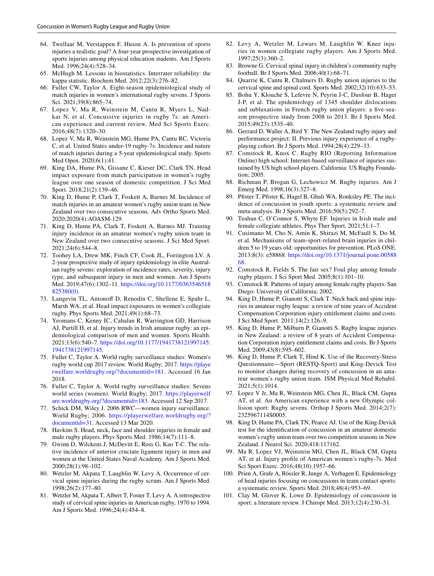- <span id="page-12-0"></span>64. Twellaar M, Verstappen F, Huson A. Is prevention of sports injuries a realistic goal? A four-year prospective investigation of sports injuries among physical education students. Am J Sports Med. 1996;24(4):528–34.
- <span id="page-12-1"></span>65. McHugh M. Lessons in biostatistics. Interrater reliability: the kappa statistic. Biochem Med. 2012;22(3):276–82.
- <span id="page-12-2"></span>66. Fuller CW, Taylor A. Eight-season epidemiological study of match injuries in women's international rugby sevens. J Sports Sci. 2021;39(8):865–74.
- <span id="page-12-12"></span>67. Lopez V, Ma R, Weinstein M, Cantu R, Myers L, Nadkar N, et al. Concussive injuries in rugby 7s: an American experience and current review. Med Sci Sports Exerc. 2016;48(7):1320–30.
- <span id="page-12-6"></span>68. Lopez V, Ma R, Weinstein MG, Hume PA, Cantu RC, Victoria C, et al. United States under-19 rugby-7s: Incidence and nature of match injuries during a 5-year epidemiological study. Sports Med Open. 2020;6(1):41.
- <span id="page-12-8"></span>69. King DA, Hume PA, Gissane C, Kieser DC, Clark TN. Head impact exposure from match participation in women's rugby league over one season of domestic competition. J Sci Med Sport. 2018;21(2):139–46.
- <span id="page-12-4"></span>70. King D, Hume P, Clark T, Foskett A, Barnes M. Incidence of match injuries in an amateur women's rugby union team in New Zealand over two consecutive seasons. Adv Ortho Sports Med. 2020;2020(4):AOASM-129.
- <span id="page-12-9"></span>71. King D, Hume PA, Clark T, Foskett A, Barnes MJ. Training injury incidence in an amateur women's rugby union team in New Zealand over two consecutive seasons. J Sci Med Sport. 2021;24(6):544–8.
- <span id="page-12-7"></span>72. Toohey LA, Drew MK, Finch CF, Cook JL, Fortington LV. A 2-year prospective study of injury epidemiology in elite Australian rugby sevens: exploration of incidence rates, severity, injury type, and subsequent injury in men and women. Am J Sports Med. 2019;47(6):1302–11. [https://doi.org/10.1177/0363546518](https://doi.org/10.1177/0363546518825380(0)) [825380\(0\)](https://doi.org/10.1177/0363546518825380(0)).
- <span id="page-12-5"></span>73. Langevin TL, Antonoff D, Renodin C, Shellene E, Spahr L, Marsh WA, et al. Head impact exposures in women's collegiate rugby. Phys Sports Med. 2021;49(1):68–73.
- <span id="page-12-3"></span>74. Yeomans C, Kenny IC, Cahalan R, Warrington GD, Harrison AJ, Purtill H, et al. Injury trends in Irish amateur rugby: an epidemiological comparison of men and women. Sports Health. 2021;13(6):540–7. [https://doi.org/10.1177/1941738121997145:](https://doi.org/10.1177/1941738121997145:1941738121997145) [1941738121997145](https://doi.org/10.1177/1941738121997145:1941738121997145).
- <span id="page-12-10"></span>75. Fuller C, Taylor A. World rugby surveillance studies: Women's rugby world cup 2017 review. World Rugby; 2017. [https://playe](https://playerwelfare.worldrugby.org/?documentid=181) [rwelfare.worldrugby.org/?documentid=181](https://playerwelfare.worldrugby.org/?documentid=181). Accessed 16 Jan 2018.
- 76. Fuller C, Taylor A. World rugby surveillance studies: Sevens world series (women). World Rugby; 2017. [https://playerwelf](https://playerwelfare.worldrugby.org/?documentid=183) [are.worldrugby.org/?documentid=183](https://playerwelfare.worldrugby.org/?documentid=183). Accessed 12 Sep 2017.
- <span id="page-12-11"></span>77. Schick DM, Wiley J. 2006 RWC—women injury surveillance. World Rugby; 2006. [https://playerwelfare.worldrugby.org/?](https://playerwelfare.worldrugby.org/?documentid=31) [documentid=31.](https://playerwelfare.worldrugby.org/?documentid=31) Accessed 13 Mar 2020.
- <span id="page-12-13"></span>78. Havkins S. Head, neck, face and shoulder injuries in female and male rugby players. Phys Sports Med. 1986;14(7):111–8.
- 79. Gwinn D, Wilckens J, McDevitt E, Ross G, Kao T-C. The relative incidence of anterior cruciate ligament injury in men and women at the United States Naval Academy. Am J Sports Med. 2000;28(1):98–102.
- 80. Wetzler M, Akpata T, Laughlin W, Levy A. Occurrence of cervical spine injuries during the rugby scrum. Am J Sports Med. 1998;26(2):177–80.
- 81. Wetzler M, Akpata T, Albert T, Foster T, Levy A. A retrospective study of cervical spine injuries in American rugby, 1970 to 1994. Am J Sports Med. 1996;24(4):454–8.
- 82. Levy A, Wetzler M, Lewars M, Laughlin W. Knee injuries in women collegiate rugby players. Am J Sports Med. 1997;25(3):360–2.
- 83. Browne G. Cervical spinal injury in children's community rugby football. Br J Sports Med. 2006;40(1):68–71.
- 84. Quarrie K, Cantu R, Chalmers D. Rugby union injuries to the cervical spine and spinal cord. Sports Med. 2002;32(10):633–53.
- <span id="page-12-14"></span>85. Bohu Y, Klouche S, Lefevre N, Peyrin J-C, Dusfour B, Hager J-P, et al. The epidemiology of 1345 shoulder dislocations and subluxations in French rugby union players: a fve-season prospective study from 2008 to 2013. Br J Sports Med. 2015;49(23):1535–40.
- <span id="page-12-15"></span>86. Gerrard D, Waller A, Bird Y. The New Zealand rugby injury and performance project: II. Previous injury experience of a rugbyplaying cohort. Br J Sports Med. 1994;28(4):229–33.
- <span id="page-12-19"></span>87. Comstock R, Knox C. Rugby RIO (Reporting Information Online) high school: Internet-based surveillance of injuries sustained by US high school players. California: US Rugby Foundation; 2005.
- 88. Richman P, Brogan G, Lechowicz M. Rugby injuries. Am J Emerg Med. 1998;16(3):327–8.
- 89. Pfster T, Pfster K, Hagel B, Ghali WA, Ronksley PE. The incidence of concussion in youth sports: a systematic review and meta-analysis. Br J Sports Med. 2016;50(5):292–7.
- <span id="page-12-16"></span>90. Teahan C, O'Connor S, Whyte EF. Injuries in Irish male and female collegiate athletes. Phys Ther Sport. 2021;51:1–7.
- <span id="page-12-17"></span>91. Cusimano M, Cho N, Amin K, Shirazi M, McFaull S, Do M, et al. Mechanisms of team-sport-related brain injuries in children 5 to 19 years old: opportunities for prevention. PLoS ONE. 2013;8(3): e58868. [https://doi.org/10.1371/journal.pone.00588](https://doi.org/10.1371/journal.pone.0058868) [68](https://doi.org/10.1371/journal.pone.0058868).
- <span id="page-12-18"></span>92. Comstock R, Fields S. The fair sex? Foul play among female rugby players. J Sci Sport Med. 2005;8(1):101–10.
- <span id="page-12-20"></span>93. Comstock R. Patterns of injury among female rugby players. San Diego: University of California; 2002.
- <span id="page-12-21"></span>94. King D, Hume P, Gianotti S, Clark T. Neck back and spine injuries in amateur rugby league: a review of nine years of Accident Compensation Corporation injury entitlement claims and costs. J Sci Med Sport. 2011;14(2):126–9.
- <span id="page-12-22"></span>95. King D, Hume P, Milburn P, Gianotti S. Rugby league injuries in New Zealand: a review of 8 years of Accident Compensation Corporation injury entitlement claims and costs. Br J Sports Med. 2009;43(8):595–602.
- <span id="page-12-23"></span>96. King D, Hume P, Clark T, Hind K. Use of the Recovery-Stress Questionnaire—Sport (RESTQ-Sport) and King-Devick Test to monitor changes during recovery of concussion in an amateur women's rugby union team. JSM Physical Med Rehabil. 2021;5(1):1014.
- 97. Lopez V Jr, Ma R, Weinstein MG, Chen JL, Black CM, Gupta AT, et al. An American experience with a new Olympic collision sport: Rugby sevens. Orthop J Sports Med. 2014;2(7): 2325967114S0005.
- 98. King D, Hume PA, Clark TN, Pearce AJ. Use of the King-Devick test for the identifcation of concussion in an amateur domestic women's rugby union team over two competition seasons in New Zealand. J Neurol Sci. 2020;418:117162.
- <span id="page-12-24"></span>99. Ma R, Lopez VJ, Weinstein MG, Chen JL, Black CM, Gupta AT, et al. Injury profle of American women's rugby-7s. Med Sci Sport Exerc. 2016;48(10):1957–66.
- <span id="page-12-25"></span>100. Prien A, Grafe A, Rössler R, Junge A, Verhagen E. Epidemiology of head injuries focusing on concussions in team contact sports: a systematic review. Sports Med. 2018;48(4):953–69.
- 101. Clay M, Glover K, Lowe D. Epidemiology of concussion in sport: a literature review. J Chiropr Med. 2013;12(4):230–51.